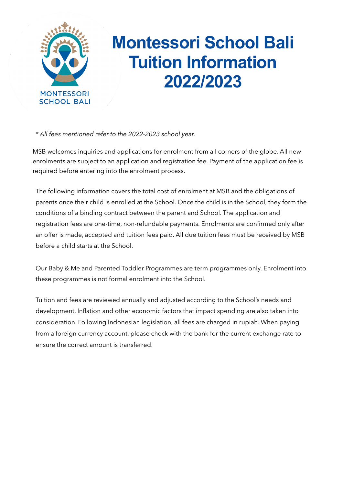

# **Montessori School Bali Tuition Information 2022/2023**

*\* All fees mentioned refer to the 2022-2023 school year.*

MSB welcomes inquiries and applications for enrolment from all corners of the globe. All new enrolments are subject to an application and registration fee. Payment of the application fee is required before entering into the enrolment process.

The following information covers the total cost of enrolment at MSB and the obligations of parents once their child is enrolled at the School. Once the child is in the School, they form the conditions of a binding contract between the parent and School. The application and registration fees are one-time, non-refundable payments. Enrolments are confirmed only after an offer is made, accepted and tuition fees paid. All due tuition fees must be received by MSB before a child starts at the School.

Our Baby & Me and Parented Toddler Programmes are term programmes only. Enrolment into these programmes is not formal enrolment into the School.

Tuition and fees are reviewed annually and adjusted according to the School's needs and development. Inflation and other economic factors that impact spending are also taken into consideration. Following Indonesian legislation, all fees are charged in rupiah. When paying from a foreign currency account, please check with the bank for the current exchange rate to ensure the correct amount is transferred.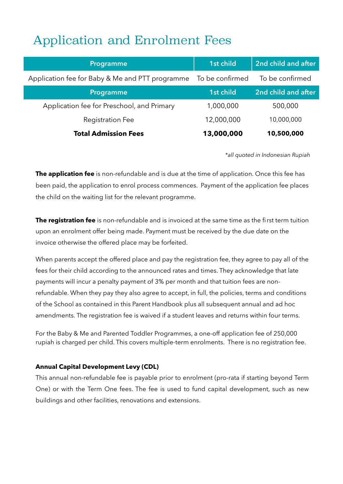## Application and Enrolment Fees

| Programme                                       | 1st child       | 2nd child and after |
|-------------------------------------------------|-----------------|---------------------|
| Application fee for Baby & Me and PTT programme | To be confirmed | To be confirmed     |
| Programme                                       | 1st child       | 2nd child and after |
| Application fee for Preschool, and Primary      | 1,000,000       | 500,000             |
| <b>Registration Fee</b>                         | 12,000,000      | 10,000,000          |
| <b>Total Admission Fees</b>                     | 13,000,000      | 10,500,000          |

*\*all quoted in Indonesian Rupiah* 

**The application fee** is non-refundable and is due at the time of application. Once this fee has been paid, the application to enrol process commences. Payment of the application fee places the child on the waiting list for the relevant programme.

**The registration fee** is non-refundable and is invoiced at the same time as the first term tuition upon an enrolment offer being made. Payment must be received by the due date on the invoice otherwise the offered place may be forfeited.

When parents accept the offered place and pay the registration fee, they agree to pay all of the fees for their child according to the announced rates and times. They acknowledge that late payments will incur a penalty payment of 3% per month and that tuition fees are nonrefundable. When they pay they also agree to accept, in full, the policies, terms and conditions of the School as contained in this Parent Handbook plus all subsequent annual and ad hoc amendments. The registration fee is waived if a student leaves and returns within four terms.

For the Baby & Me and Parented Toddler Programmes, a one-off application fee of 250,000 rupiah is charged per child. This covers multiple-term enrolments. There is no registration fee.

#### **Annual Capital Development Levy (CDL)**

This annual non-refundable fee is payable prior to enrolment (pro-rata if starting beyond Term One) or with the Term One fees. The fee is used to fund capital development, such as new buildings and other facilities, renovations and extensions.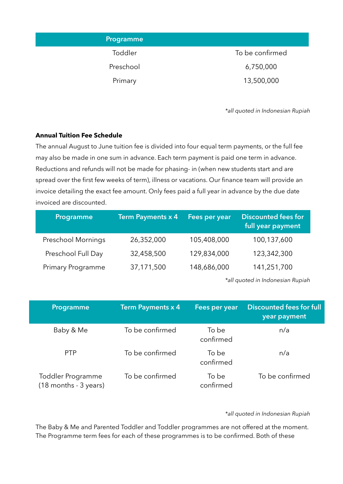| Programme |                 |
|-----------|-----------------|
| Toddler   | To be confirmed |
| Preschool | 6,750,000       |
| Primary   | 13,500,000      |

*\*all quoted in Indonesian Rupiah* 

#### **Annual Tuition Fee Schedule**

The annual August to June tuition fee is divided into four equal term payments, or the full fee may also be made in one sum in advance. Each term payment is paid one term in advance. Reductions and refunds will not be made for phasing- in (when new students start and are spread over the first few weeks of term), illness or vacations. Our finance team will provide an invoice detailing the exact fee amount. Only fees paid a full year in advance by the due date invoiced are discounted.

| Programme                 | Term Payments x 4 | Fees per year | <b>Discounted fees for</b><br>full year payment |
|---------------------------|-------------------|---------------|-------------------------------------------------|
| <b>Preschool Mornings</b> | 26,352,000        | 105,408,000   | 100,137,600                                     |
| Preschool Full Day        | 32,458,500        | 129,834,000   | 123,342,300                                     |
| Primary Programme         | 37,171,500        | 148,686,000   | 141,251,700                                     |
|                           |                   |               |                                                 |

*\*all quoted in Indonesian Rupiah* 

| Programme                                      | <b>Term Payments x 4</b> | Fees per year      | <b>Discounted fees for full</b><br>year payment |
|------------------------------------------------|--------------------------|--------------------|-------------------------------------------------|
| Baby & Me                                      | To be confirmed          | To be<br>confirmed | n/a                                             |
| <b>PTP</b>                                     | To be confirmed          | To be<br>confirmed | n/a                                             |
| Toddler Programme<br>$(18$ months - $3$ years) | To be confirmed          | To be<br>confirmed | To be confirmed                                 |

*\*all quoted in Indonesian Rupiah* 

The Baby & Me and Parented Toddler and Toddler programmes are not offered at the moment. The Programme term fees for each of these programmes is to be confirmed. Both of these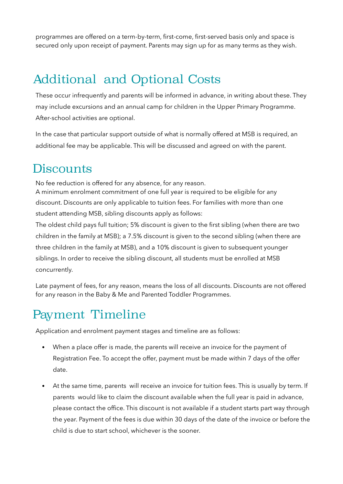programmes are offered on a term-by-term, first-come, first-served basis only and space is secured only upon receipt of payment. Parents may sign up for as many terms as they wish.

### Additional and Optional Costs

These occur infrequently and parents will be informed in advance, in writing about these. They may include excursions and an annual camp for children in the Upper Primary Programme. After-school activities are optional.

In the case that particular support outside of what is normally offered at MSB is required, an additional fee may be applicable. This will be discussed and agreed on with the parent.

#### **Discounts**

No fee reduction is offered for any absence, for any reason.

A minimum enrolment commitment of one full year is required to be eligible for any discount. Discounts are only applicable to tuition fees. For families with more than one student attending MSB, sibling discounts apply as follows:

The oldest child pays full tuition; 5% discount is given to the first sibling (when there are two children in the family at MSB); a 7.5% discount is given to the second sibling (when there are three children in the family at MSB), and a 10% discount is given to subsequent younger siblings. In order to receive the sibling discount, all students must be enrolled at MSB concurrently.

Late payment of fees, for any reason, means the loss of all discounts. Discounts are not offered for any reason in the Baby & Me and Parented Toddler Programmes.

### Payment Timeline

Application and enrolment payment stages and timeline are as follows:

- When a place offer is made, the parents will receive an invoice for the payment of Registration Fee. To accept the offer, payment must be made within 7 days of the offer date.
- At the same time, parents will receive an invoice for tuition fees. This is usually by term. If parents would like to claim the discount available when the full year is paid in advance, please contact the office. This discount is not available if a student starts part way through the year. Payment of the fees is due within 30 days of the date of the invoice or before the child is due to start school, whichever is the sooner.